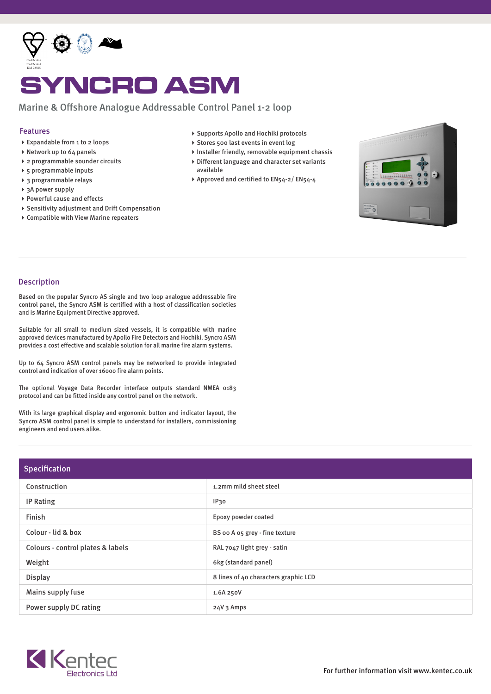

## YNCRO ASM

## Marine & Offshore Analogue Addressable Control Panel 1-2 loop

## Features

- Expandable from 1 to 2 loops
- Network up to 64 panels
- 2 programmable sounder circuits
- 5 programmable inputs
- 3 programmable relays
- ▶ 3A power supply
- ▶ Powerful cause and effects
- Sensitivity adjustment and Drift Compensation
- Compatible with View Marine repeaters
- ▶ Supports Apollo and Hochiki protocols
- ▶ Stores 500 last events in event log
- $\blacktriangleright$  Installer friendly, removable equipment chassis Different language and character set variants
- available
- ▶ Approved and certified to EN54-2/ EN54-4



## Description

Based on the popular Syncro AS single and two loop analogue addressable fire control panel, the Syncro ASM is certified with a host of classification societies and is Marine Equipment Directive approved.

Suitable for all small to medium sized vessels, it is compatible with marine approved devices manufactured by Apollo Fire Detectors and Hochiki. Syncro ASM provides a cost effective and scalable solution for all marine fire alarm systems.

Up to 64 Syncro ASM control panels may be networked to provide integrated control and indication of over 16000 fire alarm points.

The optional Voyage Data Recorder interface outputs standard NMEA 0183 protocol and can be fitted inside any control panel on the network.

With its large graphical display and ergonomic button and indicator layout, the Syncro ASM control panel is simple to understand for installers, commissioning engineers and end users alike.

| Specification                     |                                      |  |  |
|-----------------------------------|--------------------------------------|--|--|
| Construction                      | 1.2mm mild sheet steel               |  |  |
| <b>IP Rating</b>                  | IP30                                 |  |  |
| Finish                            | Epoxy powder coated                  |  |  |
| Colour - lid & box                | BS oo A o5 grey - fine texture       |  |  |
| Colours - control plates & labels | RAL 7047 light grey - satin          |  |  |
| Weight                            | 6kg (standard panel)                 |  |  |
| <b>Display</b>                    | 8 lines of 40 characters graphic LCD |  |  |
| Mains supply fuse                 | 1.6A 250V                            |  |  |
| Power supply DC rating            | 24V 3 Amps                           |  |  |